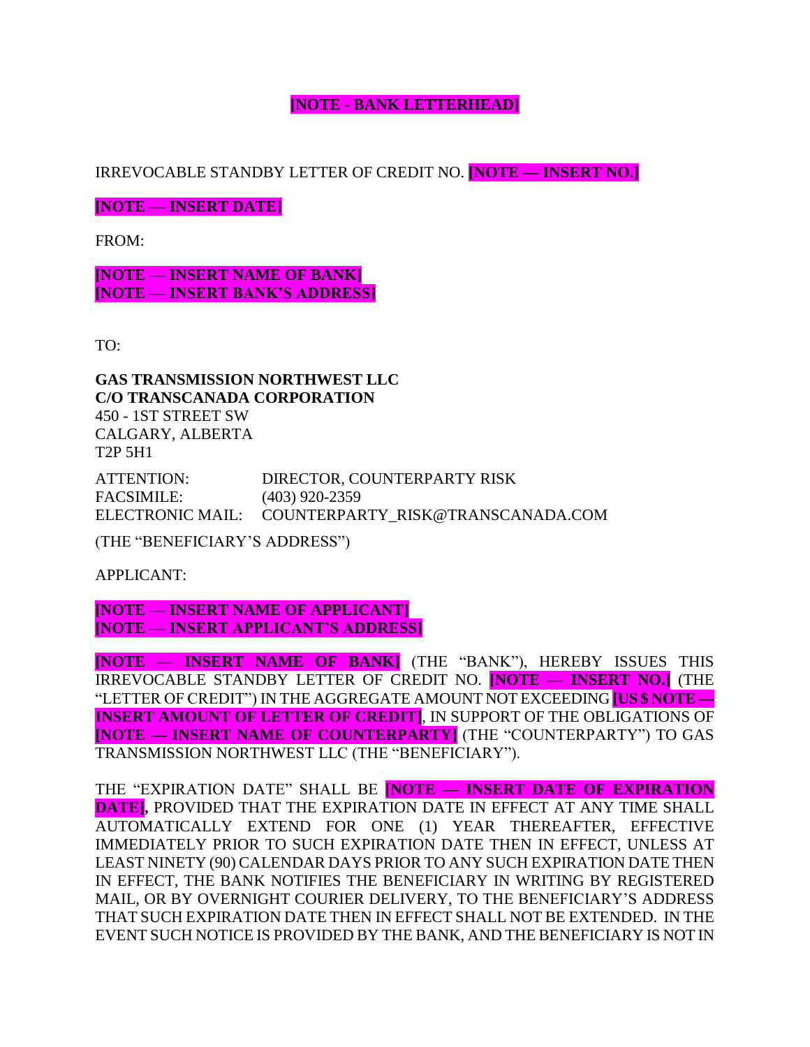## **[NOTE - BANK LETTERHEAD]**

IRREVOCABLE STANDBY LETTER OF CREDIT NO. **[NOTE — INSERT NO.]**

**[NOTE — INSERT DATE]**

FROM:

**[NOTE — INSERT NAME OF BANK] [NOTE — INSERT BANK'S ADDRESS]**

TO:

**GAS TRANSMISSION NORTHWEST LLC C/O TRANSCANADA CORPORATION** 450 - 1ST STREET SW CALGARY, ALBERTA T2P 5H1

ATTENTION: DIRECTOR, COUNTERPARTY RISK FACSIMILE: (403) 920-2359 ELECTRONIC MAIL: COUNTERPARTY\_RISK@TRANSCANADA.COM

(THE "BENEFICIARY'S ADDRESS")

APPLICANT:

**[NOTE — INSERT NAME OF APPLICANT] [NOTE — INSERT APPLICANT'S ADDRESS]**

**[NOTE — INSERT NAME OF BANK]** (THE "BANK"), HEREBY ISSUES THIS IRREVOCABLE STANDBY LETTER OF CREDIT NO. **[NOTE — INSERT NO.]** (THE "LETTER OF CREDIT") IN THE AGGREGATE AMOUNT NOT EXCEEDING **[US \$ NOTE — INSERT AMOUNT OF LETTER OF CREDIT]**, IN SUPPORT OF THE OBLIGATIONS OF **[NOTE — INSERT NAME OF COUNTERPARTY]** (THE "COUNTERPARTY") TO GAS TRANSMISSION NORTHWEST LLC (THE "BENEFICIARY").

THE "EXPIRATION DATE" SHALL BE **[NOTE — INSERT DATE OF EXPIRATION DATE],** PROVIDED THAT THE EXPIRATION DATE IN EFFECT AT ANY TIME SHALL AUTOMATICALLY EXTEND FOR ONE (1) YEAR THEREAFTER, EFFECTIVE IMMEDIATELY PRIOR TO SUCH EXPIRATION DATE THEN IN EFFECT, UNLESS AT LEAST NINETY (90) CALENDAR DAYS PRIOR TO ANY SUCH EXPIRATION DATE THEN IN EFFECT, THE BANK NOTIFIES THE BENEFICIARY IN WRITING BY REGISTERED MAIL, OR BY OVERNIGHT COURIER DELIVERY, TO THE BENEFICIARY'S ADDRESS THAT SUCH EXPIRATION DATE THEN IN EFFECT SHALL NOT BE EXTENDED. IN THE EVENT SUCH NOTICE IS PROVIDED BY THE BANK, AND THE BENEFICIARY IS NOT IN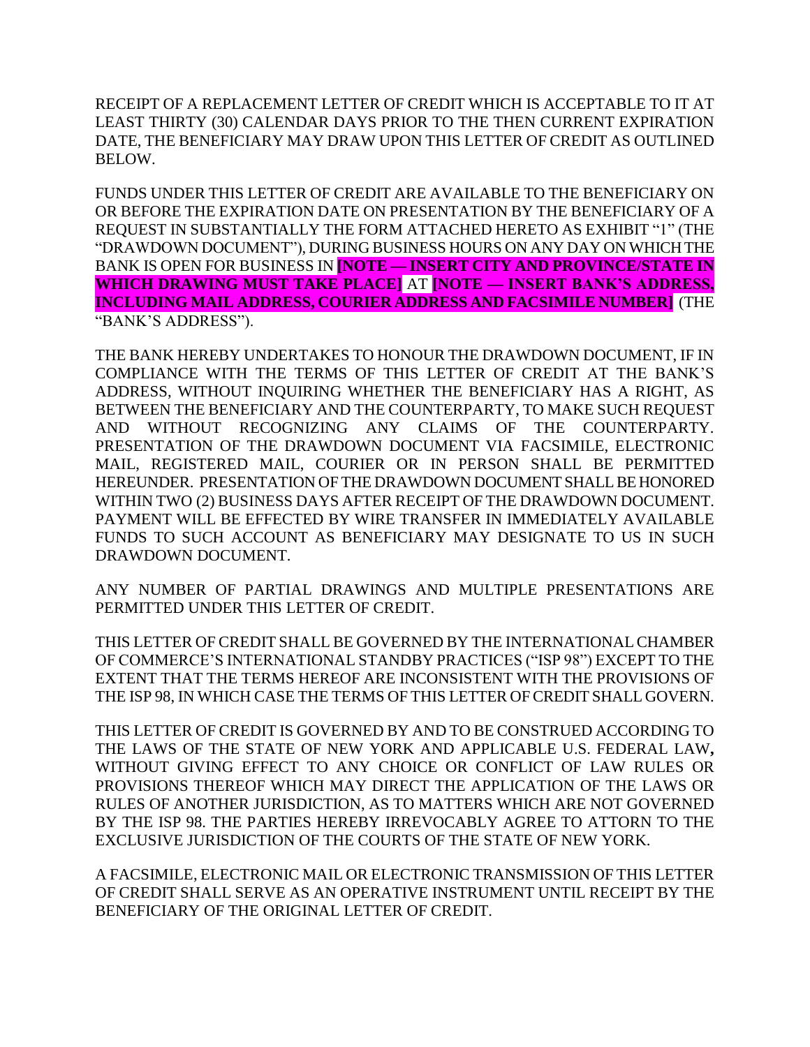RECEIPT OF A REPLACEMENT LETTER OF CREDIT WHICH IS ACCEPTABLE TO IT AT LEAST THIRTY (30) CALENDAR DAYS PRIOR TO THE THEN CURRENT EXPIRATION DATE, THE BENEFICIARY MAY DRAW UPON THIS LETTER OF CREDIT AS OUTLINED BELOW.

FUNDS UNDER THIS LETTER OF CREDIT ARE AVAILABLE TO THE BENEFICIARY ON OR BEFORE THE EXPIRATION DATE ON PRESENTATION BY THE BENEFICIARY OF A REQUEST IN SUBSTANTIALLY THE FORM ATTACHED HERETO AS EXHIBIT "1" (THE "DRAWDOWN DOCUMENT"), DURING BUSINESS HOURS ON ANY DAY ON WHICH THE BANK IS OPEN FOR BUSINESS IN **[NOTE — INSERT CITY AND PROVINCE/STATE IN WHICH DRAWING MUST TAKE PLACE]** AT **[NOTE — INSERT BANK'S ADDRESS, INCLUDING MAIL ADDRESS, COURIER ADDRESS AND FACSIMILE NUMBER]** (THE "BANK'S ADDRESS").

THE BANK HEREBY UNDERTAKES TO HONOUR THE DRAWDOWN DOCUMENT, IF IN COMPLIANCE WITH THE TERMS OF THIS LETTER OF CREDIT AT THE BANK'S ADDRESS, WITHOUT INQUIRING WHETHER THE BENEFICIARY HAS A RIGHT, AS BETWEEN THE BENEFICIARY AND THE COUNTERPARTY, TO MAKE SUCH REQUEST AND WITHOUT RECOGNIZING ANY CLAIMS OF THE COUNTERPARTY. PRESENTATION OF THE DRAWDOWN DOCUMENT VIA FACSIMILE, ELECTRONIC MAIL, REGISTERED MAIL, COURIER OR IN PERSON SHALL BE PERMITTED HEREUNDER. PRESENTATION OF THE DRAWDOWN DOCUMENT SHALL BE HONORED WITHIN TWO (2) BUSINESS DAYS AFTER RECEIPT OF THE DRAWDOWN DOCUMENT. PAYMENT WILL BE EFFECTED BY WIRE TRANSFER IN IMMEDIATELY AVAILABLE FUNDS TO SUCH ACCOUNT AS BENEFICIARY MAY DESIGNATE TO US IN SUCH DRAWDOWN DOCUMENT.

ANY NUMBER OF PARTIAL DRAWINGS AND MULTIPLE PRESENTATIONS ARE PERMITTED UNDER THIS LETTER OF CREDIT.

THIS LETTER OF CREDIT SHALL BE GOVERNED BY THE INTERNATIONAL CHAMBER OF COMMERCE'S INTERNATIONAL STANDBY PRACTICES ("ISP 98") EXCEPT TO THE EXTENT THAT THE TERMS HEREOF ARE INCONSISTENT WITH THE PROVISIONS OF THE ISP 98, IN WHICH CASE THE TERMS OF THIS LETTER OF CREDIT SHALL GOVERN.

THIS LETTER OF CREDIT IS GOVERNED BY AND TO BE CONSTRUED ACCORDING TO THE LAWS OF THE STATE OF NEW YORK AND APPLICABLE U.S. FEDERAL LAW**,** WITHOUT GIVING EFFECT TO ANY CHOICE OR CONFLICT OF LAW RULES OR PROVISIONS THEREOF WHICH MAY DIRECT THE APPLICATION OF THE LAWS OR RULES OF ANOTHER JURISDICTION, AS TO MATTERS WHICH ARE NOT GOVERNED BY THE ISP 98. THE PARTIES HEREBY IRREVOCABLY AGREE TO ATTORN TO THE EXCLUSIVE JURISDICTION OF THE COURTS OF THE STATE OF NEW YORK.

A FACSIMILE, ELECTRONIC MAIL OR ELECTRONIC TRANSMISSION OF THIS LETTER OF CREDIT SHALL SERVE AS AN OPERATIVE INSTRUMENT UNTIL RECEIPT BY THE BENEFICIARY OF THE ORIGINAL LETTER OF CREDIT.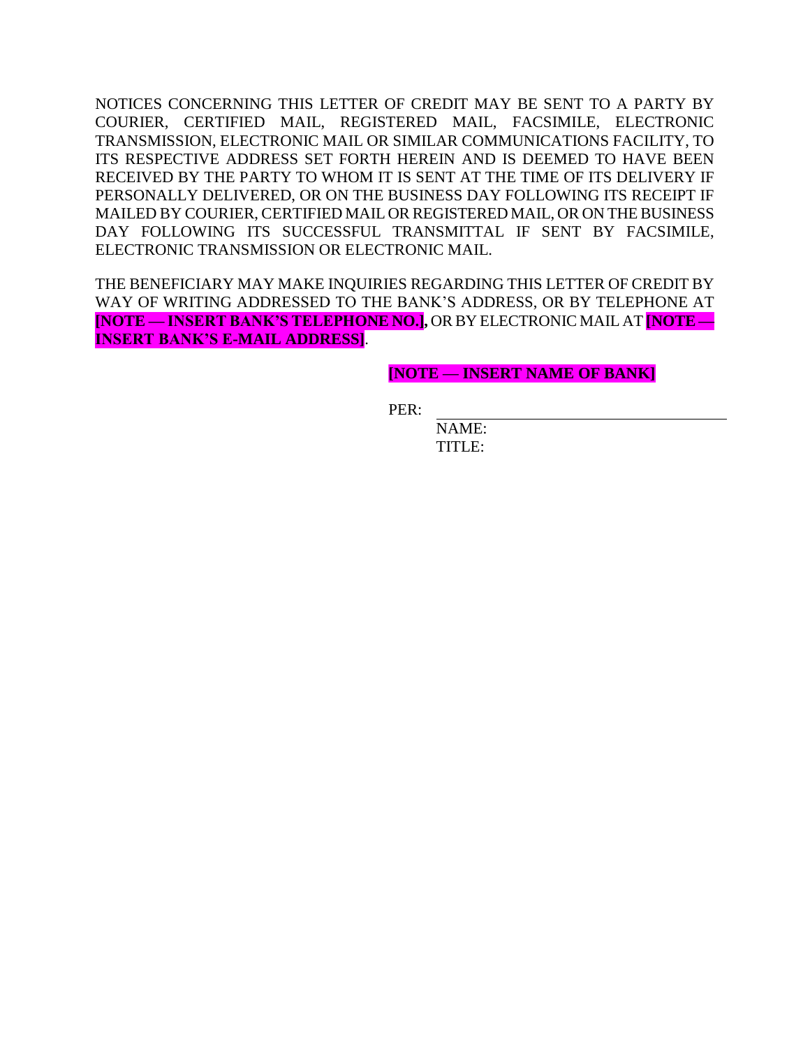NOTICES CONCERNING THIS LETTER OF CREDIT MAY BE SENT TO A PARTY BY COURIER, CERTIFIED MAIL, REGISTERED MAIL, FACSIMILE, ELECTRONIC TRANSMISSION, ELECTRONIC MAIL OR SIMILAR COMMUNICATIONS FACILITY, TO ITS RESPECTIVE ADDRESS SET FORTH HEREIN AND IS DEEMED TO HAVE BEEN RECEIVED BY THE PARTY TO WHOM IT IS SENT AT THE TIME OF ITS DELIVERY IF PERSONALLY DELIVERED, OR ON THE BUSINESS DAY FOLLOWING ITS RECEIPT IF MAILED BY COURIER, CERTIFIED MAIL OR REGISTERED MAIL, OR ON THE BUSINESS DAY FOLLOWING ITS SUCCESSFUL TRANSMITTAL IF SENT BY FACSIMILE, ELECTRONIC TRANSMISSION OR ELECTRONIC MAIL.

THE BENEFICIARY MAY MAKE INQUIRIES REGARDING THIS LETTER OF CREDIT BY WAY OF WRITING ADDRESSED TO THE BANK'S ADDRESS, OR BY TELEPHONE AT **[NOTE — INSERT BANK'S TELEPHONE NO.],** OR BY ELECTRONIC MAIL AT **[NOTE — INSERT BANK'S E-MAIL ADDRESS]**.

**[NOTE — INSERT NAME OF BANK]**

PER:

NAME: TITLE: